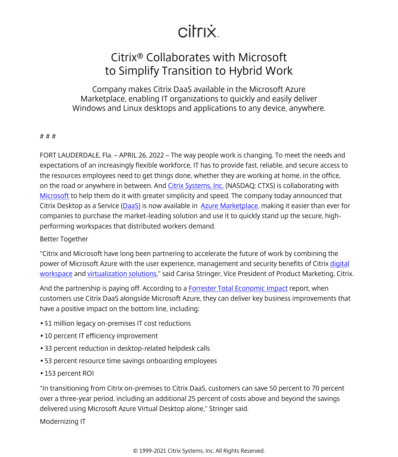## citrix.

## Citrix® Collaborates with Microsoft to Simplify Transition to Hybrid Work

Company makes Citrix DaaS available in the Microsoft Azure Marketplace, enabling IT organizations to quickly and easily deliver Windows and Linux desktops and applications to any device, anywhere.

## # # #

FORT LAUDERDALE, Fla. – APRIL 26, 2022 – The way people work is changing. To meet the needs and expectations of an increasingly flexible workforce, IT has to provide fast, reliable, and secure access to the resources employees need to get things done, whether they are working at home, in the office, on the road or anywhere in between. And [Citrix Systems, Inc.](/content/citrix/en-gb/
            .html) (NASDAQ: CTXS) is collaborating with [Microsoft](http://www.microsoft.com) to help them do it with greater simplicity and speed. The company today announced that Citrix Desktop as a Service ([DaaS\)](/content/citrix/en-gb/products/citrix-daas/
            .html) is now available in [Azure Marketplace](https://azuremarketplace.microsoft.com/en-us/marketplace/apps/citrix.citrix-daas-azure?tab=Overview), making it easier than ever for companies to purchase the market-leading solution and use it to quickly stand up the secure, highperforming workspaces that distributed workers demand.

## Better Together

"Citrix and Microsoft have long been partnering to accelerate the future of work by combining the power of Microsoft Azure with the user experience, management and security benefits of Citrix [digital](/content/citrix/en-gb/solutions/digital-workspace/
            .html) [workspace](/content/citrix/en-gb/solutions/digital-workspace/
            .html) and [virtualization solutions,](/content/citrix/en-gb/solutions/vdi-and-daas/
            .html)" said Carisa Stringer, Vice President of Product Marketing, Citrix.

And the partnership is paying off. According to a [Forrester Total Economic Impact](/content/citrix/en-gb/products/citrix-daas/resources/the-tei-of-the-citrix-daas.html) report, when customers use Citrix DaaS alongside Microsoft Azure, they can deliver key business improvements that have a positive impact on the bottom line, including:

- \$1 million legacy on-premises IT cost reductions
- 10 percent IT efficiency improvement
- 33 percent reduction in desktop-related helpdesk calls
- 53 percent resource time savings onboarding employees
- 153 percent ROI

"In transitioning from Citrix on-premises to Citrix DaaS, customers can save 50 percent to 70 percent over a three-year period, including an additional 25 percent of costs above and beyond the savings delivered using Microsoft Azure Virtual Desktop alone," Stringer said.

Modernizing IT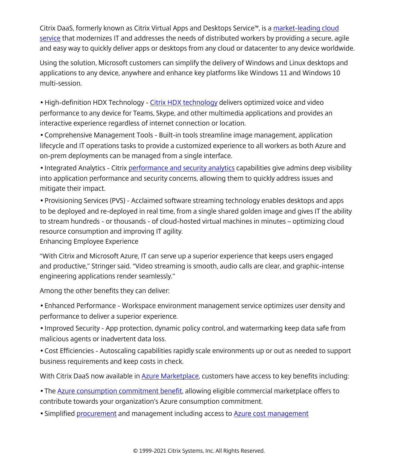Citrix DaaS, formerly known as Citrix Virtual Apps and Desktops Service™, is a [market-leading cloud](https://www.youtube.com/watch?v=gIIE35GmH_g) [service](https://www.youtube.com/watch?v=gIIE35GmH_g) that modernizes IT and addresses the needs of distributed workers by providing a secure, agile and easy way to quickly deliver apps or desktops from any cloud or datacenter to any device worldwide.

Using the solution, Microsoft customers can simplify the delivery of Windows and Linux desktops and applications to any device, anywhere and enhance key platforms like Windows 11 and Windows 10 multi-session.

• High-definition HDX Technology - [Citrix HDX technology](/content/citrix/en-gb/solutions/vdi-and-daas/hdx/
            .html) delivers optimized voice and video performance to any device for Teams, Skype, and other multimedia applications and provides an interactive experience regardless of internet connection or location.

• Comprehensive Management Tools - Built-in tools streamline image management, application lifecycle and IT operations tasks to provide a customized experience to all workers as both Azure and on-prem deployments can be managed from a single interface.

• Integrated Analytics - Citrix [performance and security analytics](/content/citrix/en-gb/solutions/analytics/
            .html) capabilities give admins deep visibility into application performance and security concerns, allowing them to quickly address issues and mitigate their impact.

• Provisioning Services (PVS) - Acclaimed software streaming technology enables desktops and apps to be deployed and re-deployed in real time, from a single shared golden image and gives IT the ability to stream hundreds - or thousands - of cloud-hosted virtual machines in minutes – optimizing cloud resource consumption and improving IT agility.

Enhancing Employee Experience

"With Citrix and Microsoft Azure, IT can serve up a superior experience that keeps users engaged and productive," Stringer said. "Video streaming is smooth, audio calls are clear, and graphic-intense engineering applications render seamlessly."

Among the other benefits they can deliver:

• Enhanced Performance - Workspace environment management service optimizes user density and performance to deliver a superior experience.

• Improved Security - App protection, dynamic policy control, and watermarking keep data safe from malicious agents or inadvertent data loss.

• Cost Efficiencies - Autoscaling capabilities rapidly scale environments up or out as needed to support business requirements and keep costs in check.

With Citrix DaaS now available in **Azure Marketplace**, customers have access to key benefits including:

• The [Azure consumption commitment benefit](https://docs.microsoft.com/en-us/marketplace/azure-consumption-commitment-benefit), allowing eligible commercial marketplace offers to contribute towards your organization's Azure consumption commitment.

• Simplified [procurement](https://docs.microsoft.com/en-us/marketplace/azure-purchasing-invoicing) and management including access to **[Azure cost management](https://azure.microsoft.com/en-us/services/cost-management/)**